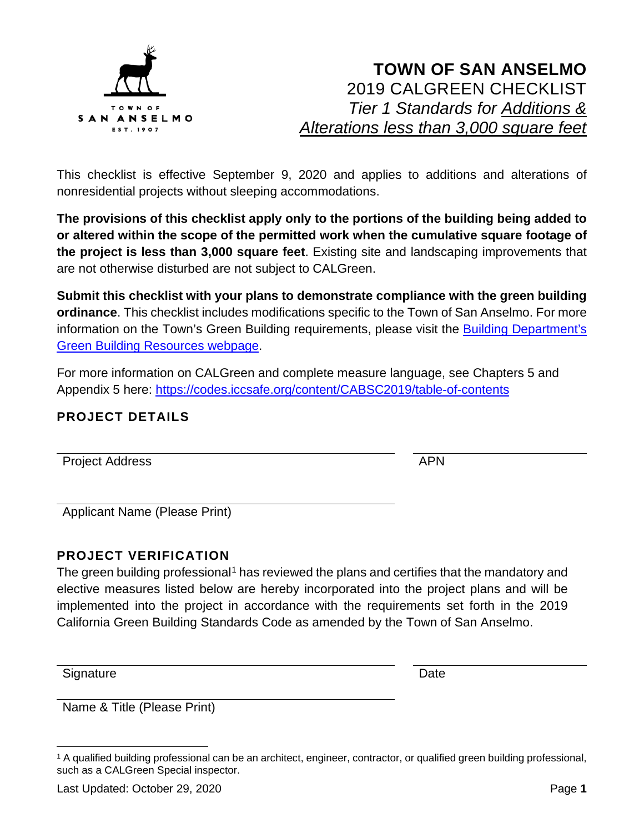

This checklist is effective September 9, 2020 and applies to additions and alterations of nonresidential projects without sleeping accommodations.

**The provisions of this checklist apply only to the portions of the building being added to or altered within the scope of the permitted work when the cumulative square footage of the project is less than 3,000 square feet**. Existing site and landscaping improvements that are not otherwise disturbed are not subject to CALGreen.

**Submit this checklist with your plans to demonstrate compliance with the green building ordinance**. This checklist includes modifications specific to the Town of San Anselmo. For more information on the Town's Green Building requirements, please visit the **Building Department's** [Green Building Resources webpage.](https://www.townofsananselmo.org/1228/Green-Building-Resources)

For more information on CALGreen and complete measure language, see Chapters 5 and Appendix 5 here:<https://codes.iccsafe.org/content/CABSC2019/table-of-contents>

#### **PROJECT DETAILS**

Project Address APN

Applicant Name (Please Print)

#### **PROJECT VERIFICATION**

The green building professional<sup>[1](#page-0-0)</sup> has reviewed the plans and certifies that the mandatory and elective measures listed below are hereby incorporated into the project plans and will be implemented into the project in accordance with the requirements set forth in the 2019 California Green Building Standards Code as amended by the Town of San Anselmo.

Signature Date **Date** 

Name & Title (Please Print)

<span id="page-0-0"></span><sup>1</sup> A qualified building professional can be an architect, engineer, contractor, or qualified green building professional, such as a CALGreen Special inspector.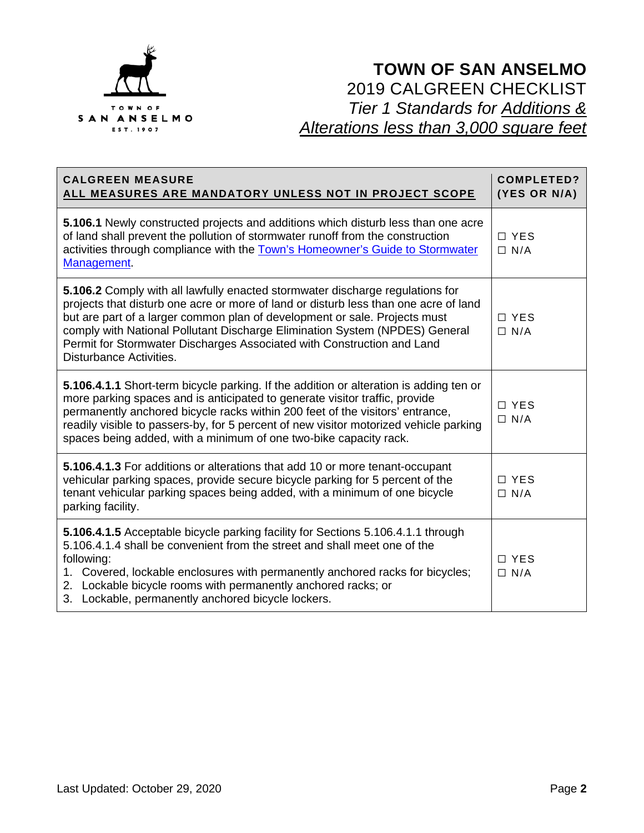

| <b>CALGREEN MEASURE</b><br>ALL MEASURES ARE MANDATORY UNLESS NOT IN PROJECT SCOPE                                                                                                                                                                                                                                                                                                                                                       | <b>COMPLETED?</b><br>(YES OR N/A) |
|-----------------------------------------------------------------------------------------------------------------------------------------------------------------------------------------------------------------------------------------------------------------------------------------------------------------------------------------------------------------------------------------------------------------------------------------|-----------------------------------|
| 5.106.1 Newly constructed projects and additions which disturb less than one acre<br>of land shall prevent the pollution of stormwater runoff from the construction<br>activities through compliance with the Town's Homeowner's Guide to Stormwater<br>Management.                                                                                                                                                                     | $\Box$ YES<br>$\Box$ N/A          |
| 5.106.2 Comply with all lawfully enacted stormwater discharge regulations for<br>projects that disturb one acre or more of land or disturb less than one acre of land<br>but are part of a larger common plan of development or sale. Projects must<br>comply with National Pollutant Discharge Elimination System (NPDES) General<br>Permit for Stormwater Discharges Associated with Construction and Land<br>Disturbance Activities. | $\Box$ YES<br>$\Box$ N/A          |
| 5.106.4.1.1 Short-term bicycle parking. If the addition or alteration is adding ten or<br>more parking spaces and is anticipated to generate visitor traffic, provide<br>permanently anchored bicycle racks within 200 feet of the visitors' entrance,<br>readily visible to passers-by, for 5 percent of new visitor motorized vehicle parking<br>spaces being added, with a minimum of one two-bike capacity rack.                    | $\Box$ YES<br>$\Box$ N/A          |
| 5.106.4.1.3 For additions or alterations that add 10 or more tenant-occupant<br>vehicular parking spaces, provide secure bicycle parking for 5 percent of the<br>tenant vehicular parking spaces being added, with a minimum of one bicycle<br>parking facility.                                                                                                                                                                        | $\Box$ YES<br>$\Box$ N/A          |
| 5.106.4.1.5 Acceptable bicycle parking facility for Sections 5.106.4.1.1 through<br>5.106.4.1.4 shall be convenient from the street and shall meet one of the<br>following:<br>1. Covered, lockable enclosures with permanently anchored racks for bicycles;<br>2. Lockable bicycle rooms with permanently anchored racks; or<br>3. Lockable, permanently anchored bicycle lockers.                                                     | $\Box$ YES<br>$\Box$ N/A          |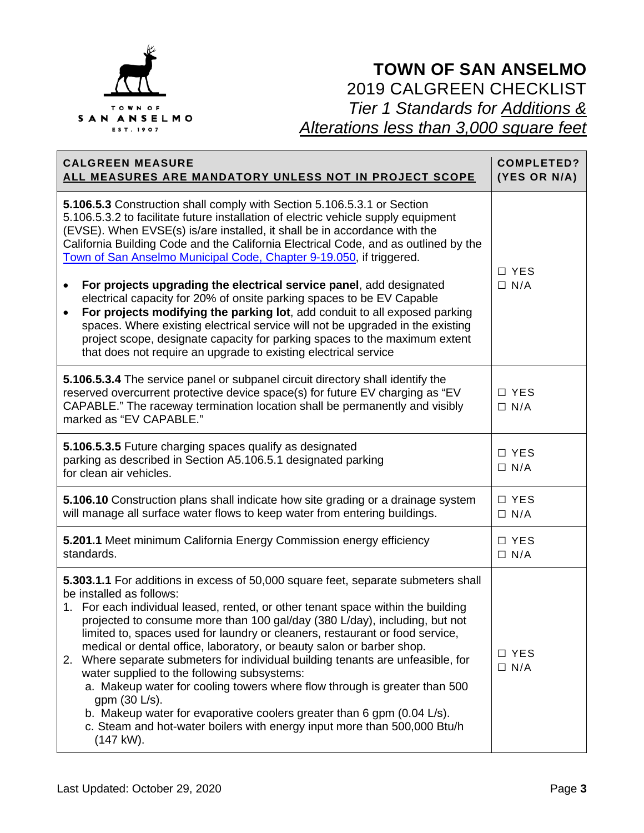

| <b>CALGREEN MEASURE</b><br>ALL MEASURES ARE MANDATORY UNLESS NOT IN PROJECT SCOPE                                                                                                                                                                                                                                                                                                                                                                                                                                                                                                                                                                                                                                                                                                                                                                        | <b>COMPLETED?</b><br>(YES OR N/A) |
|----------------------------------------------------------------------------------------------------------------------------------------------------------------------------------------------------------------------------------------------------------------------------------------------------------------------------------------------------------------------------------------------------------------------------------------------------------------------------------------------------------------------------------------------------------------------------------------------------------------------------------------------------------------------------------------------------------------------------------------------------------------------------------------------------------------------------------------------------------|-----------------------------------|
| 5.106.5.3 Construction shall comply with Section 5.106.5.3.1 or Section<br>5.106.5.3.2 to facilitate future installation of electric vehicle supply equipment<br>(EVSE). When EVSE(s) is/are installed, it shall be in accordance with the<br>California Building Code and the California Electrical Code, and as outlined by the<br>Town of San Anselmo Municipal Code, Chapter 9-19.050, if triggered.<br>For projects upgrading the electrical service panel, add designated                                                                                                                                                                                                                                                                                                                                                                          | □ YES<br>$\Box$ N/A               |
| electrical capacity for 20% of onsite parking spaces to be EV Capable<br>For projects modifying the parking lot, add conduit to all exposed parking<br>$\bullet$<br>spaces. Where existing electrical service will not be upgraded in the existing<br>project scope, designate capacity for parking spaces to the maximum extent<br>that does not require an upgrade to existing electrical service                                                                                                                                                                                                                                                                                                                                                                                                                                                      |                                   |
| 5.106.5.3.4 The service panel or subpanel circuit directory shall identify the<br>reserved overcurrent protective device space(s) for future EV charging as "EV<br>CAPABLE." The raceway termination location shall be permanently and visibly<br>marked as "EV CAPABLE."                                                                                                                                                                                                                                                                                                                                                                                                                                                                                                                                                                                | □ YES<br>$\Box$ N/A               |
| 5.106.5.3.5 Future charging spaces qualify as designated<br>parking as described in Section A5.106.5.1 designated parking<br>for clean air vehicles.                                                                                                                                                                                                                                                                                                                                                                                                                                                                                                                                                                                                                                                                                                     | □ YES<br>$\Box$ N/A               |
| 5.106.10 Construction plans shall indicate how site grading or a drainage system<br>will manage all surface water flows to keep water from entering buildings.                                                                                                                                                                                                                                                                                                                                                                                                                                                                                                                                                                                                                                                                                           | $\Box$ YES<br>$\Box$ N/A          |
| 5.201.1 Meet minimum California Energy Commission energy efficiency<br>standards.                                                                                                                                                                                                                                                                                                                                                                                                                                                                                                                                                                                                                                                                                                                                                                        | □ YES<br>$\Box$ N/A               |
| 5.303.1.1 For additions in excess of 50,000 square feet, separate submeters shall<br>be installed as follows:<br>1. For each individual leased, rented, or other tenant space within the building<br>projected to consume more than 100 gal/day (380 L/day), including, but not<br>limited to, spaces used for laundry or cleaners, restaurant or food service,<br>medical or dental office, laboratory, or beauty salon or barber shop.<br>2. Where separate submeters for individual building tenants are unfeasible, for<br>water supplied to the following subsystems:<br>a. Makeup water for cooling towers where flow through is greater than 500<br>gpm $(30 \text{ L/s})$ .<br>b. Makeup water for evaporative coolers greater than 6 gpm (0.04 L/s).<br>c. Steam and hot-water boilers with energy input more than 500,000 Btu/h<br>$(147$ kW). | $\Box$ YES<br>$\Box$ N/A          |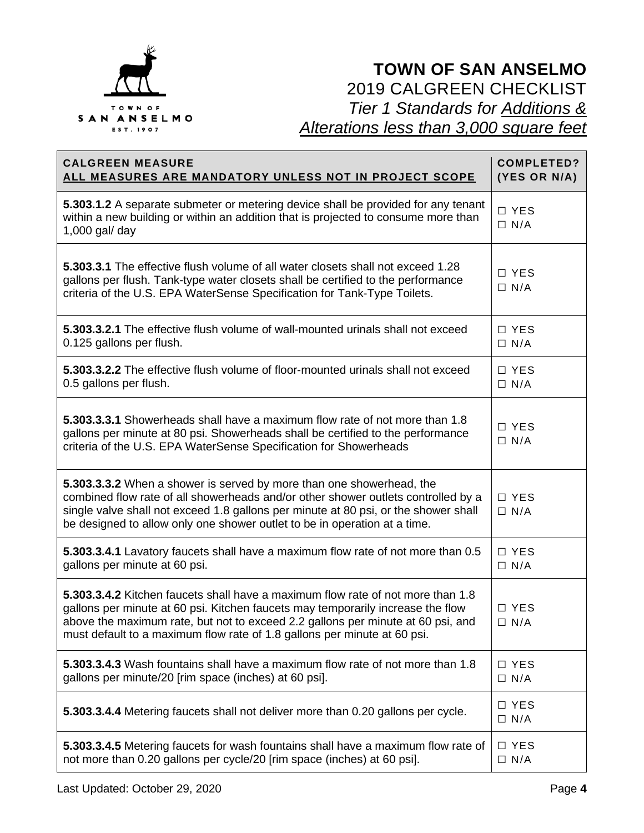

| <b>CALGREEN MEASURE</b>                                                                                                                                                                                                                                                                                                           | <b>COMPLETED?</b>        |
|-----------------------------------------------------------------------------------------------------------------------------------------------------------------------------------------------------------------------------------------------------------------------------------------------------------------------------------|--------------------------|
| <u>ALL MEASURES ARE MANDATORY UNLESS NOT IN PROJECT SCOPE</u>                                                                                                                                                                                                                                                                     | (YES OR N/A)             |
| 5.303.1.2 A separate submeter or metering device shall be provided for any tenant<br>within a new building or within an addition that is projected to consume more than<br>$1,000$ gal/ day                                                                                                                                       | □ YES<br>$\Box$ N/A      |
| 5.303.3.1 The effective flush volume of all water closets shall not exceed 1.28<br>gallons per flush. Tank-type water closets shall be certified to the performance<br>criteria of the U.S. EPA WaterSense Specification for Tank-Type Toilets.                                                                                   | □ YES<br>$\Box$ N/A      |
| 5.303.3.2.1 The effective flush volume of wall-mounted urinals shall not exceed                                                                                                                                                                                                                                                   | □ YES                    |
| 0.125 gallons per flush.                                                                                                                                                                                                                                                                                                          | $\Box$ N/A               |
| 5.303.3.2.2 The effective flush volume of floor-mounted urinals shall not exceed                                                                                                                                                                                                                                                  | $\Box$ YES               |
| 0.5 gallons per flush.                                                                                                                                                                                                                                                                                                            | $\Box$ N/A               |
| 5.303.3.3.1 Showerheads shall have a maximum flow rate of not more than 1.8<br>gallons per minute at 80 psi. Showerheads shall be certified to the performance<br>criteria of the U.S. EPA WaterSense Specification for Showerheads                                                                                               | □ YES<br>$\Box$ N/A      |
| 5.303.3.3.2 When a shower is served by more than one showerhead, the<br>combined flow rate of all showerheads and/or other shower outlets controlled by a<br>single valve shall not exceed 1.8 gallons per minute at 80 psi, or the shower shall<br>be designed to allow only one shower outlet to be in operation at a time.     | □ YES<br>$\Box$ N/A      |
| 5.303.3.4.1 Lavatory faucets shall have a maximum flow rate of not more than 0.5                                                                                                                                                                                                                                                  | □ YES                    |
| gallons per minute at 60 psi.                                                                                                                                                                                                                                                                                                     | $\Box$ N/A               |
| 5.303.3.4.2 Kitchen faucets shall have a maximum flow rate of not more than 1.8<br>gallons per minute at 60 psi. Kitchen faucets may temporarily increase the flow<br>above the maximum rate, but not to exceed 2.2 gallons per minute at 60 psi, and<br>must default to a maximum flow rate of 1.8 gallons per minute at 60 psi. | □ YES<br>$\Box$ N/A      |
| 5.303.3.4.3 Wash fountains shall have a maximum flow rate of not more than 1.8                                                                                                                                                                                                                                                    | □ YES                    |
| gallons per minute/20 [rim space (inches) at 60 psi].                                                                                                                                                                                                                                                                             | $\Box$ N/A               |
| 5.303.3.4.4 Metering faucets shall not deliver more than 0.20 gallons per cycle.                                                                                                                                                                                                                                                  | $\Box$ YES<br>$\Box$ N/A |
| 5.303.3.4.5 Metering faucets for wash fountains shall have a maximum flow rate of                                                                                                                                                                                                                                                 | $\Box$ YES               |
| not more than 0.20 gallons per cycle/20 [rim space (inches) at 60 psi].                                                                                                                                                                                                                                                           | $\Box$ N/A               |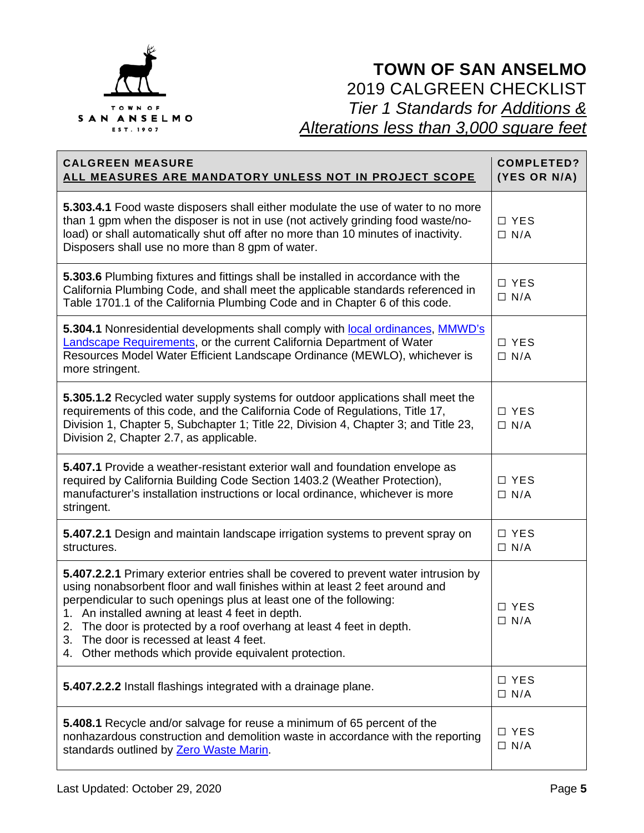

| <b>CALGREEN MEASURE</b><br><u>ALL MEASURES ARE MANDATORY UNLESS NOT IN PROJECT SCOPE</u>                                                                                                                                                                                                                                                                                                                                                                                          | <b>COMPLETED?</b><br>(YES OR N/A) |
|-----------------------------------------------------------------------------------------------------------------------------------------------------------------------------------------------------------------------------------------------------------------------------------------------------------------------------------------------------------------------------------------------------------------------------------------------------------------------------------|-----------------------------------|
| 5.303.4.1 Food waste disposers shall either modulate the use of water to no more<br>than 1 gpm when the disposer is not in use (not actively grinding food waste/no-<br>load) or shall automatically shut off after no more than 10 minutes of inactivity.<br>Disposers shall use no more than 8 gpm of water.                                                                                                                                                                    | $\Box$ YES<br>$\Box$ N/A          |
| 5.303.6 Plumbing fixtures and fittings shall be installed in accordance with the<br>California Plumbing Code, and shall meet the applicable standards referenced in<br>Table 1701.1 of the California Plumbing Code and in Chapter 6 of this code.                                                                                                                                                                                                                                | □ YES<br>$\Box$ N/A               |
| 5.304.1 Nonresidential developments shall comply with local ordinances, MMWD's<br>Landscape Requirements, or the current California Department of Water<br>Resources Model Water Efficient Landscape Ordinance (MEWLO), whichever is<br>more stringent.                                                                                                                                                                                                                           | □ YES<br>$\Box$ N/A               |
| 5.305.1.2 Recycled water supply systems for outdoor applications shall meet the<br>requirements of this code, and the California Code of Regulations, Title 17,<br>Division 1, Chapter 5, Subchapter 1; Title 22, Division 4, Chapter 3; and Title 23,<br>Division 2, Chapter 2.7, as applicable.                                                                                                                                                                                 | $\Box$ YES<br>$\Box$ N/A          |
| 5.407.1 Provide a weather-resistant exterior wall and foundation envelope as<br>required by California Building Code Section 1403.2 (Weather Protection),<br>manufacturer's installation instructions or local ordinance, whichever is more<br>stringent.                                                                                                                                                                                                                         | $\Box$ YES<br>$\Box$ N/A          |
| 5.407.2.1 Design and maintain landscape irrigation systems to prevent spray on<br>structures.                                                                                                                                                                                                                                                                                                                                                                                     | □ YES<br>$\Box$ N/A               |
| 5.407.2.2.1 Primary exterior entries shall be covered to prevent water intrusion by<br>using nonabsorbent floor and wall finishes within at least 2 feet around and<br>perpendicular to such openings plus at least one of the following:<br>1. An installed awning at least 4 feet in depth.<br>The door is protected by a roof overhang at least 4 feet in depth.<br>2.<br>The door is recessed at least 4 feet.<br>3.<br>4. Other methods which provide equivalent protection. | $\Box$ YES<br>$\Box$ N/A          |
| 5.407.2.2.2 Install flashings integrated with a drainage plane.                                                                                                                                                                                                                                                                                                                                                                                                                   | $\Box$ YES<br>$\Box$ N/A          |
| 5.408.1 Recycle and/or salvage for reuse a minimum of 65 percent of the<br>nonhazardous construction and demolition waste in accordance with the reporting<br>standards outlined by Zero Waste Marin.                                                                                                                                                                                                                                                                             | □ YES<br>$\Box$ N/A               |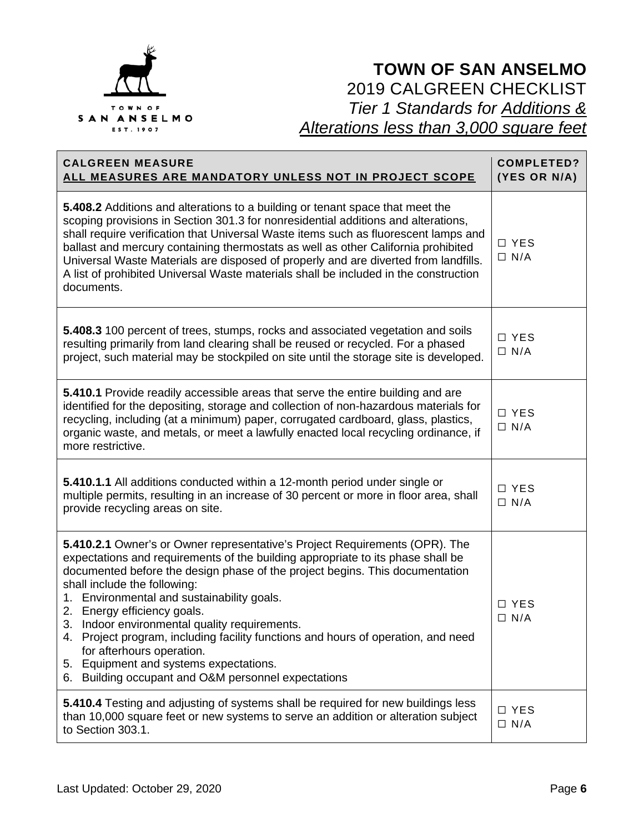

| <b>CALGREEN MEASURE</b><br><u>ALL MEASURES ARE MANDATORY UNLESS NOT IN PROJECT SCOPE</u>                                                                                                                                                                                                                                                                                                                                                                                                                                                                                                                                           | <b>COMPLETED?</b><br>(YES OR N/A) |
|------------------------------------------------------------------------------------------------------------------------------------------------------------------------------------------------------------------------------------------------------------------------------------------------------------------------------------------------------------------------------------------------------------------------------------------------------------------------------------------------------------------------------------------------------------------------------------------------------------------------------------|-----------------------------------|
| 5.408.2 Additions and alterations to a building or tenant space that meet the<br>scoping provisions in Section 301.3 for nonresidential additions and alterations,<br>shall require verification that Universal Waste items such as fluorescent lamps and<br>ballast and mercury containing thermostats as well as other California prohibited<br>Universal Waste Materials are disposed of properly and are diverted from landfills.<br>A list of prohibited Universal Waste materials shall be included in the construction<br>documents.                                                                                        | □ YES<br>$\Box$ N/A               |
| 5.408.3 100 percent of trees, stumps, rocks and associated vegetation and soils<br>resulting primarily from land clearing shall be reused or recycled. For a phased<br>project, such material may be stockpiled on site until the storage site is developed.                                                                                                                                                                                                                                                                                                                                                                       | □ YES<br>$\Box$ N/A               |
| 5.410.1 Provide readily accessible areas that serve the entire building and are<br>identified for the depositing, storage and collection of non-hazardous materials for<br>recycling, including (at a minimum) paper, corrugated cardboard, glass, plastics,<br>organic waste, and metals, or meet a lawfully enacted local recycling ordinance, if<br>more restrictive.                                                                                                                                                                                                                                                           | □ YES<br>$\Box$ N/A               |
| 5.410.1.1 All additions conducted within a 12-month period under single or<br>multiple permits, resulting in an increase of 30 percent or more in floor area, shall<br>provide recycling areas on site.                                                                                                                                                                                                                                                                                                                                                                                                                            | $\Box$ YES<br>$\Box$ N/A          |
| 5.410.2.1 Owner's or Owner representative's Project Requirements (OPR). The<br>expectations and requirements of the building appropriate to its phase shall be<br>documented before the design phase of the project begins. This documentation<br>shall include the following:<br>1. Environmental and sustainability goals.<br>2. Energy efficiency goals.<br>3. Indoor environmental quality requirements.<br>Project program, including facility functions and hours of operation, and need<br>4.<br>for afterhours operation.<br>5. Equipment and systems expectations.<br>6. Building occupant and O&M personnel expectations | □ YES<br>$\Box$ N/A               |
| 5.410.4 Testing and adjusting of systems shall be required for new buildings less<br>than 10,000 square feet or new systems to serve an addition or alteration subject<br>to Section 303.1.                                                                                                                                                                                                                                                                                                                                                                                                                                        | □ YES<br>$\Box$ N/A               |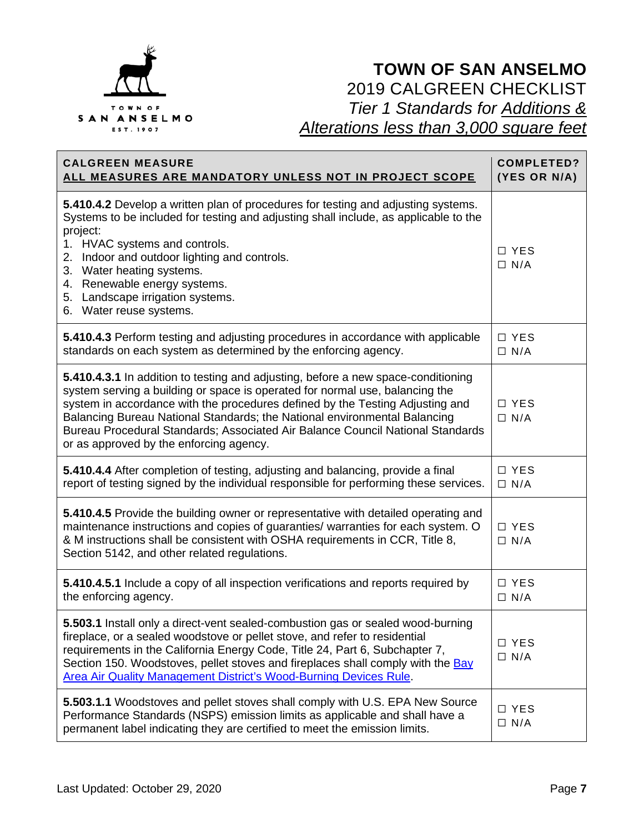

| <b>CALGREEN MEASURE</b><br><u>ALL MEASURES ARE MANDATORY UNLESS NOT IN PROJECT SCOPE</u>                                                                                                                                                                                                                                                                                                                                                                     | <b>COMPLETED?</b><br>(YES OR N/A) |
|--------------------------------------------------------------------------------------------------------------------------------------------------------------------------------------------------------------------------------------------------------------------------------------------------------------------------------------------------------------------------------------------------------------------------------------------------------------|-----------------------------------|
| 5.410.4.2 Develop a written plan of procedures for testing and adjusting systems.<br>Systems to be included for testing and adjusting shall include, as applicable to the<br>project:<br>1. HVAC systems and controls.<br>2. Indoor and outdoor lighting and controls.<br>3. Water heating systems.<br>4. Renewable energy systems.<br>5. Landscape irrigation systems.<br>6. Water reuse systems.                                                           | □ YES<br>$\Box$ N/A               |
| 5.410.4.3 Perform testing and adjusting procedures in accordance with applicable<br>standards on each system as determined by the enforcing agency.                                                                                                                                                                                                                                                                                                          | □ YES<br>$\Box$ N/A               |
| 5.410.4.3.1 In addition to testing and adjusting, before a new space-conditioning<br>system serving a building or space is operated for normal use, balancing the<br>system in accordance with the procedures defined by the Testing Adjusting and<br>Balancing Bureau National Standards; the National environmental Balancing<br>Bureau Procedural Standards; Associated Air Balance Council National Standards<br>or as approved by the enforcing agency. | □ YES<br>$\Box$ N/A               |
| 5.410.4.4 After completion of testing, adjusting and balancing, provide a final<br>report of testing signed by the individual responsible for performing these services.                                                                                                                                                                                                                                                                                     | □ YES<br>$\Box$ N/A               |
| 5.410.4.5 Provide the building owner or representative with detailed operating and<br>maintenance instructions and copies of guaranties/ warranties for each system. O<br>& M instructions shall be consistent with OSHA requirements in CCR, Title 8,<br>Section 5142, and other related regulations.                                                                                                                                                       | □ YES<br>$\Box$ N/A               |
| 5.410.4.5.1 Include a copy of all inspection verifications and reports required by<br>the enforcing agency.                                                                                                                                                                                                                                                                                                                                                  | □ YES<br>$\Box$ N/A               |
| 5.503.1 Install only a direct-vent sealed-combustion gas or sealed wood-burning<br>fireplace, or a sealed woodstove or pellet stove, and refer to residential<br>requirements in the California Energy Code, Title 24, Part 6, Subchapter 7,<br>Section 150. Woodstoves, pellet stoves and fireplaces shall comply with the Bay<br>Area Air Quality Management District's Wood-Burning Devices Rule.                                                         | $\Box$ YES<br>$\Box$ N/A          |
| 5.503.1.1 Woodstoves and pellet stoves shall comply with U.S. EPA New Source<br>Performance Standards (NSPS) emission limits as applicable and shall have a<br>permanent label indicating they are certified to meet the emission limits.                                                                                                                                                                                                                    | □ YES<br>$\Box$ N/A               |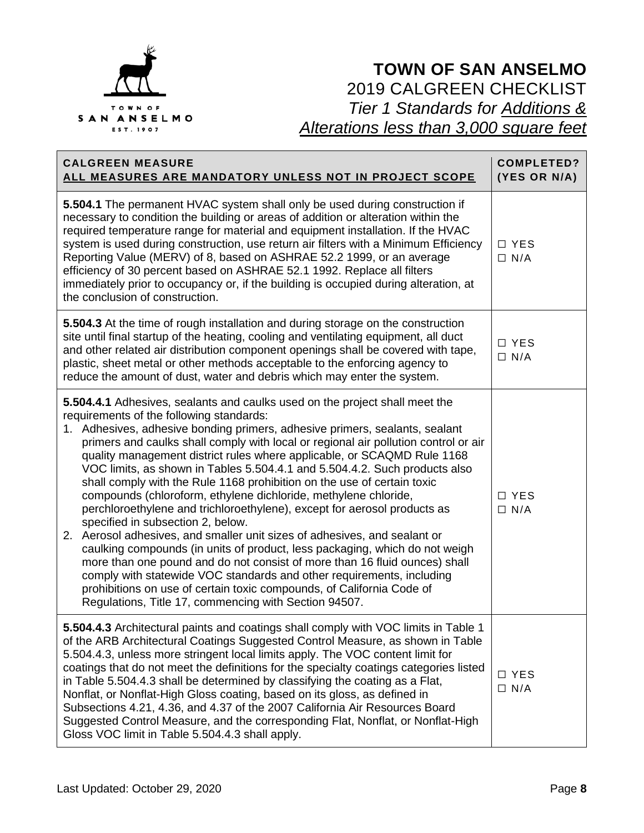

| <b>CALGREEN MEASURE</b><br>ALL MEASURES ARE MANDATORY UNLESS NOT IN PROJECT SCOPE                                                                                                                                                                                                                                                                                                                                                                                                                                                                                                                                                                                                                                                                                                                                                                                                                                                                                                                                                                                                                                                                                          | <b>COMPLETED?</b><br>(YES OR N/A) |
|----------------------------------------------------------------------------------------------------------------------------------------------------------------------------------------------------------------------------------------------------------------------------------------------------------------------------------------------------------------------------------------------------------------------------------------------------------------------------------------------------------------------------------------------------------------------------------------------------------------------------------------------------------------------------------------------------------------------------------------------------------------------------------------------------------------------------------------------------------------------------------------------------------------------------------------------------------------------------------------------------------------------------------------------------------------------------------------------------------------------------------------------------------------------------|-----------------------------------|
| 5.504.1 The permanent HVAC system shall only be used during construction if<br>necessary to condition the building or areas of addition or alteration within the<br>required temperature range for material and equipment installation. If the HVAC<br>system is used during construction, use return air filters with a Minimum Efficiency<br>Reporting Value (MERV) of 8, based on ASHRAE 52.2 1999, or an average<br>efficiency of 30 percent based on ASHRAE 52.1 1992. Replace all filters<br>immediately prior to occupancy or, if the building is occupied during alteration, at<br>the conclusion of construction.                                                                                                                                                                                                                                                                                                                                                                                                                                                                                                                                                 | $\Box$ YES<br>$\Box$ N/A          |
| 5.504.3 At the time of rough installation and during storage on the construction<br>site until final startup of the heating, cooling and ventilating equipment, all duct<br>and other related air distribution component openings shall be covered with tape,<br>plastic, sheet metal or other methods acceptable to the enforcing agency to<br>reduce the amount of dust, water and debris which may enter the system.                                                                                                                                                                                                                                                                                                                                                                                                                                                                                                                                                                                                                                                                                                                                                    | $\Box$ YES<br>$\Box$ N/A          |
| 5.504.4.1 Adhesives, sealants and caulks used on the project shall meet the<br>requirements of the following standards:<br>1. Adhesives, adhesive bonding primers, adhesive primers, sealants, sealant<br>primers and caulks shall comply with local or regional air pollution control or air<br>quality management district rules where applicable, or SCAQMD Rule 1168<br>VOC limits, as shown in Tables 5.504.4.1 and 5.504.4.2. Such products also<br>shall comply with the Rule 1168 prohibition on the use of certain toxic<br>compounds (chloroform, ethylene dichloride, methylene chloride,<br>perchloroethylene and trichloroethylene), except for aerosol products as<br>specified in subsection 2, below.<br>2. Aerosol adhesives, and smaller unit sizes of adhesives, and sealant or<br>caulking compounds (in units of product, less packaging, which do not weigh<br>more than one pound and do not consist of more than 16 fluid ounces) shall<br>comply with statewide VOC standards and other requirements, including<br>prohibitions on use of certain toxic compounds, of California Code of<br>Regulations, Title 17, commencing with Section 94507. | $\Box$ YES<br>$\Box$ N/A          |
| 5.504.4.3 Architectural paints and coatings shall comply with VOC limits in Table 1<br>of the ARB Architectural Coatings Suggested Control Measure, as shown in Table<br>5.504.4.3, unless more stringent local limits apply. The VOC content limit for<br>coatings that do not meet the definitions for the specialty coatings categories listed<br>in Table 5.504.4.3 shall be determined by classifying the coating as a Flat,<br>Nonflat, or Nonflat-High Gloss coating, based on its gloss, as defined in<br>Subsections 4.21, 4.36, and 4.37 of the 2007 California Air Resources Board<br>Suggested Control Measure, and the corresponding Flat, Nonflat, or Nonflat-High<br>Gloss VOC limit in Table 5.504.4.3 shall apply.                                                                                                                                                                                                                                                                                                                                                                                                                                        | □ YES<br>$\Box$ N/A               |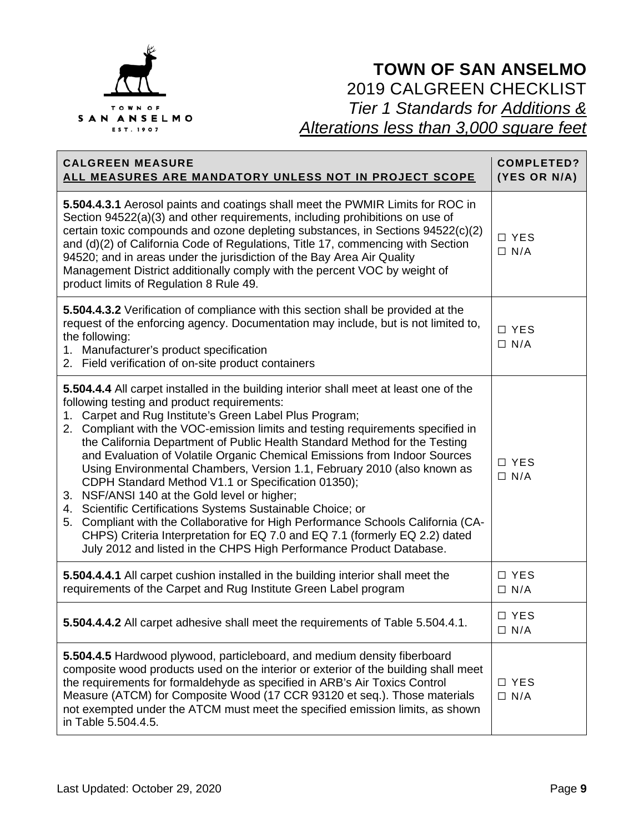

| <b>CALGREEN MEASURE</b><br>ALL MEASURES ARE MANDATORY UNLESS NOT IN PROJECT SCOPE                                                                                                                                                                                                                                                                                                                                                                                                                                                                                                                                                                                                                                                                                                                                                                                                                                                        | <b>COMPLETED?</b><br>(YES OR N/A) |
|------------------------------------------------------------------------------------------------------------------------------------------------------------------------------------------------------------------------------------------------------------------------------------------------------------------------------------------------------------------------------------------------------------------------------------------------------------------------------------------------------------------------------------------------------------------------------------------------------------------------------------------------------------------------------------------------------------------------------------------------------------------------------------------------------------------------------------------------------------------------------------------------------------------------------------------|-----------------------------------|
| 5.504.4.3.1 Aerosol paints and coatings shall meet the PWMIR Limits for ROC in<br>Section 94522(a)(3) and other requirements, including prohibitions on use of<br>certain toxic compounds and ozone depleting substances, in Sections 94522(c)(2)<br>and (d)(2) of California Code of Regulations, Title 17, commencing with Section<br>94520; and in areas under the jurisdiction of the Bay Area Air Quality<br>Management District additionally comply with the percent VOC by weight of<br>product limits of Regulation 8 Rule 49.                                                                                                                                                                                                                                                                                                                                                                                                   | □ YES<br>$\Box$ N/A               |
| <b>5.504.4.3.2</b> Verification of compliance with this section shall be provided at the<br>request of the enforcing agency. Documentation may include, but is not limited to,<br>the following:<br>1. Manufacturer's product specification<br>2. Field verification of on-site product containers                                                                                                                                                                                                                                                                                                                                                                                                                                                                                                                                                                                                                                       | □ YES<br>$\Box$ N/A               |
| 5.504.4.4 All carpet installed in the building interior shall meet at least one of the<br>following testing and product requirements:<br>1. Carpet and Rug Institute's Green Label Plus Program;<br>2. Compliant with the VOC-emission limits and testing requirements specified in<br>the California Department of Public Health Standard Method for the Testing<br>and Evaluation of Volatile Organic Chemical Emissions from Indoor Sources<br>Using Environmental Chambers, Version 1.1, February 2010 (also known as<br>CDPH Standard Method V1.1 or Specification 01350);<br>3. NSF/ANSI 140 at the Gold level or higher;<br>4. Scientific Certifications Systems Sustainable Choice; or<br>5. Compliant with the Collaborative for High Performance Schools California (CA-<br>CHPS) Criteria Interpretation for EQ 7.0 and EQ 7.1 (formerly EQ 2.2) dated<br>July 2012 and listed in the CHPS High Performance Product Database. | □ YES<br>$\Box$ N/A               |
| 5.504.4.4.1 All carpet cushion installed in the building interior shall meet the<br>requirements of the Carpet and Rug Institute Green Label program                                                                                                                                                                                                                                                                                                                                                                                                                                                                                                                                                                                                                                                                                                                                                                                     | □ YES<br>$\Box$ N/A               |
| 5.504.4.4.2 All carpet adhesive shall meet the requirements of Table 5.504.4.1.                                                                                                                                                                                                                                                                                                                                                                                                                                                                                                                                                                                                                                                                                                                                                                                                                                                          | $\Box$ YES<br>$\Box$ N/A          |
| 5.504.4.5 Hardwood plywood, particleboard, and medium density fiberboard<br>composite wood products used on the interior or exterior of the building shall meet<br>the requirements for formaldehyde as specified in ARB's Air Toxics Control<br>Measure (ATCM) for Composite Wood (17 CCR 93120 et seq.). Those materials<br>not exempted under the ATCM must meet the specified emission limits, as shown<br>in Table 5.504.4.5.                                                                                                                                                                                                                                                                                                                                                                                                                                                                                                       | □ YES<br>$\Box$ N/A               |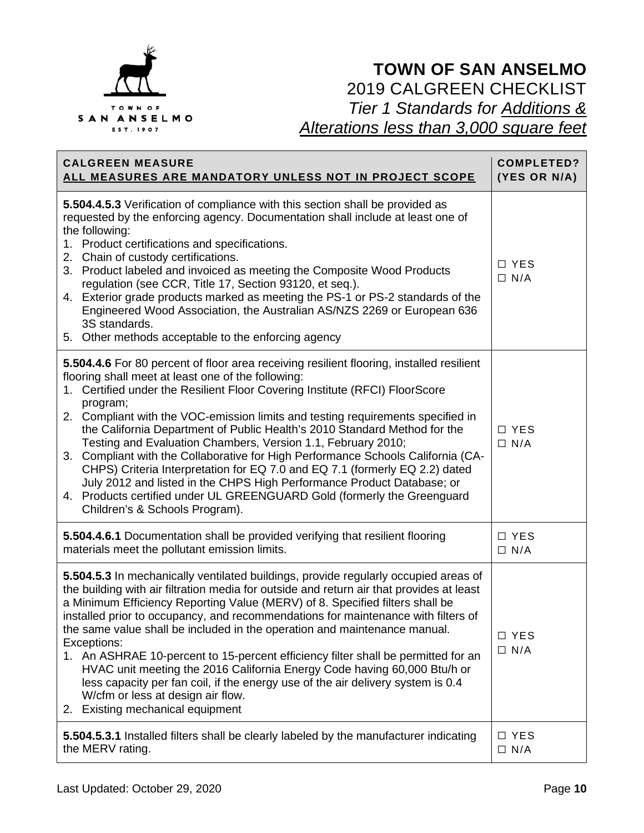

| <b>CALGREEN MEASURE</b>                                                                                                                                                                                                                                                                                                                                                                                                                                                                                                                                                                                                                                                                                                                                                                                                             | <b>COMPLETED?</b>   |
|-------------------------------------------------------------------------------------------------------------------------------------------------------------------------------------------------------------------------------------------------------------------------------------------------------------------------------------------------------------------------------------------------------------------------------------------------------------------------------------------------------------------------------------------------------------------------------------------------------------------------------------------------------------------------------------------------------------------------------------------------------------------------------------------------------------------------------------|---------------------|
| ALL MEASURES ARE MANDATORY UNLESS NOT IN PROJECT SCOPE                                                                                                                                                                                                                                                                                                                                                                                                                                                                                                                                                                                                                                                                                                                                                                              | (YES OR N/A)        |
| 5.504.4.5.3 Verification of compliance with this section shall be provided as<br>requested by the enforcing agency. Documentation shall include at least one of<br>the following:<br>1. Product certifications and specifications.<br>2. Chain of custody certifications.<br>3. Product labeled and invoiced as meeting the Composite Wood Products<br>regulation (see CCR, Title 17, Section 93120, et seq.).<br>4. Exterior grade products marked as meeting the PS-1 or PS-2 standards of the<br>Engineered Wood Association, the Australian AS/NZS 2269 or European 636<br>3S standards.<br>5. Other methods acceptable to the enforcing agency                                                                                                                                                                                 | □ YES<br>$\Box$ N/A |
| 5.504.4.6 For 80 percent of floor area receiving resilient flooring, installed resilient<br>flooring shall meet at least one of the following:<br>1. Certified under the Resilient Floor Covering Institute (RFCI) FloorScore<br>program;<br>2. Compliant with the VOC-emission limits and testing requirements specified in<br>the California Department of Public Health's 2010 Standard Method for the<br>Testing and Evaluation Chambers, Version 1.1, February 2010;<br>3. Compliant with the Collaborative for High Performance Schools California (CA-<br>CHPS) Criteria Interpretation for EQ 7.0 and EQ 7.1 (formerly EQ 2.2) dated<br>July 2012 and listed in the CHPS High Performance Product Database; or<br>4. Products certified under UL GREENGUARD Gold (formerly the Greenguard<br>Children's & Schools Program). | □ YES<br>$\Box$ N/A |
| 5.504.4.6.1 Documentation shall be provided verifying that resilient flooring                                                                                                                                                                                                                                                                                                                                                                                                                                                                                                                                                                                                                                                                                                                                                       | □ YES               |
| materials meet the pollutant emission limits.                                                                                                                                                                                                                                                                                                                                                                                                                                                                                                                                                                                                                                                                                                                                                                                       | $\Box$ N/A          |
| 5.504.5.3 In mechanically ventilated buildings, provide regularly occupied areas of<br>the building with air filtration media for outside and return air that provides at least<br>a Minimum Efficiency Reporting Value (MERV) of 8. Specified filters shall be<br>installed prior to occupancy, and recommendations for maintenance with filters of<br>the same value shall be included in the operation and maintenance manual.<br>Exceptions:<br>1. An ASHRAE 10-percent to 15-percent efficiency filter shall be permitted for an<br>HVAC unit meeting the 2016 California Energy Code having 60,000 Btu/h or<br>less capacity per fan coil, if the energy use of the air delivery system is 0.4<br>W/cfm or less at design air flow.<br>2. Existing mechanical equipment                                                       | □ YES<br>$\Box$ N/A |
| 5.504.5.3.1 Installed filters shall be clearly labeled by the manufacturer indicating                                                                                                                                                                                                                                                                                                                                                                                                                                                                                                                                                                                                                                                                                                                                               | □ YES               |
| the MERV rating.                                                                                                                                                                                                                                                                                                                                                                                                                                                                                                                                                                                                                                                                                                                                                                                                                    | $\Box$ N/A          |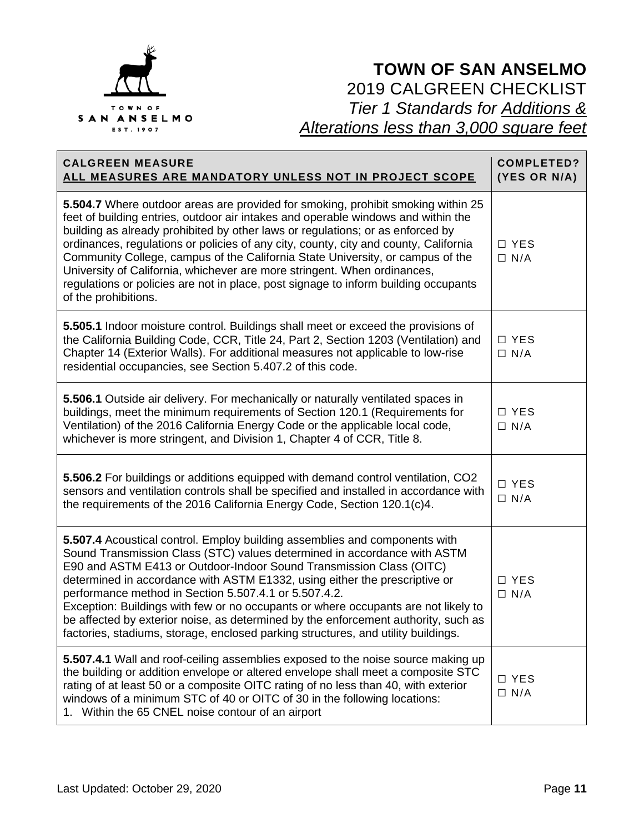

| <b>CALGREEN MEASURE</b><br>ALL MEASURES ARE MANDATORY UNLESS NOT IN PROJECT SCOPE                                                                                                                                                                                                                                                                                                                                                                                                                                                                                                                                                     | <b>COMPLETED?</b><br>(YES OR N/A) |
|---------------------------------------------------------------------------------------------------------------------------------------------------------------------------------------------------------------------------------------------------------------------------------------------------------------------------------------------------------------------------------------------------------------------------------------------------------------------------------------------------------------------------------------------------------------------------------------------------------------------------------------|-----------------------------------|
| 5.504.7 Where outdoor areas are provided for smoking, prohibit smoking within 25<br>feet of building entries, outdoor air intakes and operable windows and within the<br>building as already prohibited by other laws or regulations; or as enforced by<br>ordinances, regulations or policies of any city, county, city and county, California<br>Community College, campus of the California State University, or campus of the<br>University of California, whichever are more stringent. When ordinances,<br>regulations or policies are not in place, post signage to inform building occupants<br>of the prohibitions.          | □ YES<br>$\Box$ N/A               |
| 5.505.1 Indoor moisture control. Buildings shall meet or exceed the provisions of<br>the California Building Code, CCR, Title 24, Part 2, Section 1203 (Ventilation) and<br>Chapter 14 (Exterior Walls). For additional measures not applicable to low-rise<br>residential occupancies, see Section 5.407.2 of this code.                                                                                                                                                                                                                                                                                                             | □ YES<br>$\Box$ N/A               |
| 5.506.1 Outside air delivery. For mechanically or naturally ventilated spaces in<br>buildings, meet the minimum requirements of Section 120.1 (Requirements for<br>Ventilation) of the 2016 California Energy Code or the applicable local code,<br>whichever is more stringent, and Division 1, Chapter 4 of CCR, Title 8.                                                                                                                                                                                                                                                                                                           | $\Box$ YES<br>$\Box$ N/A          |
| 5.506.2 For buildings or additions equipped with demand control ventilation, CO2<br>sensors and ventilation controls shall be specified and installed in accordance with<br>the requirements of the 2016 California Energy Code, Section 120.1(c)4.                                                                                                                                                                                                                                                                                                                                                                                   | □ YES<br>$\Box$ N/A               |
| 5.507.4 Acoustical control. Employ building assemblies and components with<br>Sound Transmission Class (STC) values determined in accordance with ASTM<br>E90 and ASTM E413 or Outdoor-Indoor Sound Transmission Class (OITC)<br>determined in accordance with ASTM E1332, using either the prescriptive or<br>performance method in Section 5.507.4.1 or 5.507.4.2.<br>Exception: Buildings with few or no occupants or where occupants are not likely to<br>be affected by exterior noise, as determined by the enforcement authority, such as<br>factories, stadiums, storage, enclosed parking structures, and utility buildings. | □ YES<br>$\Box$ N/A               |
| 5.507.4.1 Wall and roof-ceiling assemblies exposed to the noise source making up<br>the building or addition envelope or altered envelope shall meet a composite STC<br>rating of at least 50 or a composite OITC rating of no less than 40, with exterior<br>windows of a minimum STC of 40 or OITC of 30 in the following locations:<br>1. Within the 65 CNEL noise contour of an airport                                                                                                                                                                                                                                           | □ YES<br>$\Box$ N/A               |